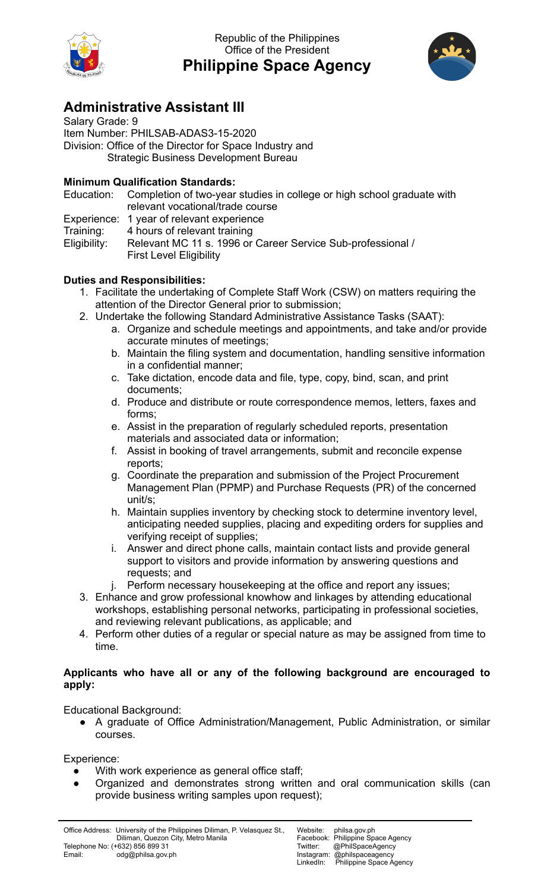

Republic of the Philippines Office of the President **Philippine Space Agency**



## **Administrative Assistant III**

Salary Grade: 9 Item Number: PHILSAB-ADAS3-15-2020 Division: Office of the Director for Space Industry and Strategic Business Development Bureau

## **Minimum Qualification Standards:**

Education: Completion of two-year studies in college or high school graduate with relevant vocational/trade course

Experience: 1 year of relevant experience

Training: 4 hours of relevant training

Eligibility: Relevant MC 11 s. 1996 or Career Service Sub-professional / First Level Eligibility

## **Duties and Responsibilities:**

- 1. Facilitate the undertaking of Complete Staff Work (CSW) on matters requiring the attention of the Director General prior to submission;
- 2. Undertake the following Standard Administrative Assistance Tasks (SAAT):
	- a. Organize and schedule meetings and appointments, and take and/or provide accurate minutes of meetings;
	- b. Maintain the filing system and documentation, handling sensitive information in a confidential manner;
	- c. Take dictation, encode data and file, type, copy, bind, scan, and print documents;
	- d. Produce and distribute or route correspondence memos, letters, faxes and forms;
	- e. Assist in the preparation of regularly scheduled reports, presentation materials and associated data or information;
	- f. Assist in booking of travel arrangements, submit and reconcile expense reports;
	- g. Coordinate the preparation and submission of the Project Procurement Management Plan (PPMP) and Purchase Requests (PR) of the concerned unit/s;
	- h. Maintain supplies inventory by checking stock to determine inventory level, anticipating needed supplies, placing and expediting orders for supplies and verifying receipt of supplies;
	- i. Answer and direct phone calls, maintain contact lists and provide general support to visitors and provide information by answering questions and requests; and
	- j. Perform necessary housekeeping at the office and report any issues;
- 3. Enhance and grow professional knowhow and linkages by attending educational workshops, establishing personal networks, participating in professional societies, and reviewing relevant publications, as applicable; and
- 4. Perform other duties of a regular or special nature as may be assigned from time to time.

## **Applicants who have all or any of the following background are encouraged to apply:**

Educational Background:

● A graduate of Office Administration/Management, Public Administration, or similar courses.

Experience:

- With work experience as general office staff;
- Organized and demonstrates strong written and oral communication skills (can provide business writing samples upon request);